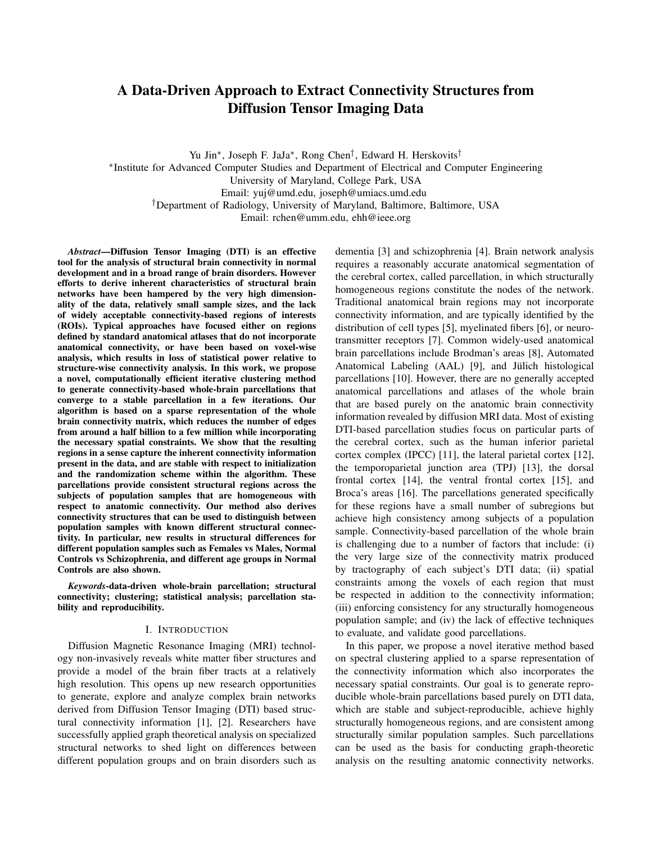# A Data-Driven Approach to Extract Connectivity Structures from Diffusion Tensor Imaging Data

Yu Jin<sup>\*</sup>, Joseph F. JaJa<sup>\*</sup>, Rong Chen<sup>†</sup>, Edward H. Herskovits<sup>†</sup> ⇤Institute for Advanced Computer Studies and Department of Electrical and Computer Engineering University of Maryland, College Park, USA Email: yuj@umd.edu, joseph@umiacs.umd.edu *†*Department of Radiology, University of Maryland, Baltimore, Baltimore, USA Email: rchen@umm.edu, ehh@ieee.org

*Abstract*—Diffusion Tensor Imaging (DTI) is an effective tool for the analysis of structural brain connectivity in normal development and in a broad range of brain disorders. However efforts to derive inherent characteristics of structural brain networks have been hampered by the very high dimensionality of the data, relatively small sample sizes, and the lack of widely acceptable connectivity-based regions of interests (ROIs). Typical approaches have focused either on regions defined by standard anatomical atlases that do not incorporate anatomical connectivity, or have been based on voxel-wise analysis, which results in loss of statistical power relative to structure-wise connectivity analysis. In this work, we propose a novel, computationally efficient iterative clustering method to generate connectivity-based whole-brain parcellations that converge to a stable parcellation in a few iterations. Our algorithm is based on a sparse representation of the whole brain connectivity matrix, which reduces the number of edges from around a half billion to a few million while incorporating the necessary spatial constraints. We show that the resulting regions in a sense capture the inherent connectivity information present in the data, and are stable with respect to initialization and the randomization scheme within the algorithm. These parcellations provide consistent structural regions across the subjects of population samples that are homogeneous with respect to anatomic connectivity. Our method also derives connectivity structures that can be used to distinguish between population samples with known different structural connectivity. In particular, new results in structural differences for different population samples such as Females vs Males, Normal Controls vs Schizophrenia, and different age groups in Normal Controls are also shown.

*Keywords*-data-driven whole-brain parcellation; structural connectivity; clustering; statistical analysis; parcellation stability and reproducibility.

## I. INTRODUCTION

Diffusion Magnetic Resonance Imaging (MRI) technology non-invasively reveals white matter fiber structures and provide a model of the brain fiber tracts at a relatively high resolution. This opens up new research opportunities to generate, explore and analyze complex brain networks derived from Diffusion Tensor Imaging (DTI) based structural connectivity information [1], [2]. Researchers have successfully applied graph theoretical analysis on specialized structural networks to shed light on differences between different population groups and on brain disorders such as dementia [3] and schizophrenia [4]. Brain network analysis requires a reasonably accurate anatomical segmentation of the cerebral cortex, called parcellation, in which structurally homogeneous regions constitute the nodes of the network. Traditional anatomical brain regions may not incorporate connectivity information, and are typically identified by the distribution of cell types [5], myelinated fibers [6], or neurotransmitter receptors [7]. Common widely-used anatomical brain parcellations include Brodman's areas [8], Automated Anatomical Labeling (AAL) [9], and Jülich histological parcellations [10]. However, there are no generally accepted anatomical parcellations and atlases of the whole brain that are based purely on the anatomic brain connectivity information revealed by diffusion MRI data. Most of existing DTI-based parcellation studies focus on particular parts of the cerebral cortex, such as the human inferior parietal cortex complex (IPCC) [11], the lateral parietal cortex [12], the temporoparietal junction area (TPJ) [13], the dorsal frontal cortex [14], the ventral frontal cortex [15], and Broca's areas [16]. The parcellations generated specifically for these regions have a small number of subregions but achieve high consistency among subjects of a population sample. Connectivity-based parcellation of the whole brain is challenging due to a number of factors that include: (i) the very large size of the connectivity matrix produced by tractography of each subject's DTI data; (ii) spatial constraints among the voxels of each region that must be respected in addition to the connectivity information; (iii) enforcing consistency for any structurally homogeneous population sample; and (iv) the lack of effective techniques to evaluate, and validate good parcellations.

In this paper, we propose a novel iterative method based on spectral clustering applied to a sparse representation of the connectivity information which also incorporates the necessary spatial constraints. Our goal is to generate reproducible whole-brain parcellations based purely on DTI data, which are stable and subject-reproducible, achieve highly structurally homogeneous regions, and are consistent among structurally similar population samples. Such parcellations can be used as the basis for conducting graph-theoretic analysis on the resulting anatomic connectivity networks.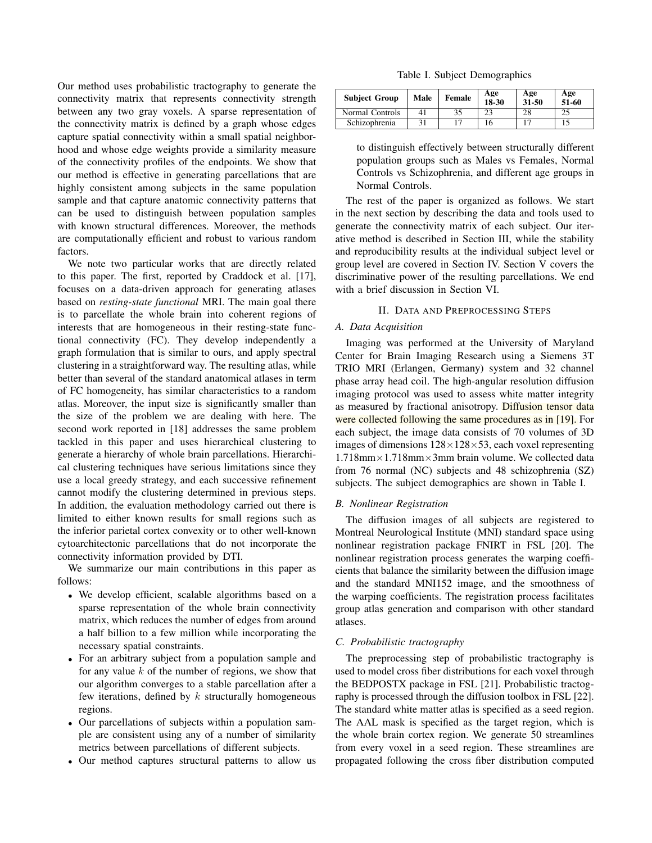Our method uses probabilistic tractography to generate the connectivity matrix that represents connectivity strength between any two gray voxels. A sparse representation of the connectivity matrix is defined by a graph whose edges capture spatial connectivity within a small spatial neighborhood and whose edge weights provide a similarity measure of the connectivity profiles of the endpoints. We show that our method is effective in generating parcellations that are highly consistent among subjects in the same population sample and that capture anatomic connectivity patterns that can be used to distinguish between population samples with known structural differences. Moreover, the methods are computationally efficient and robust to various random factors.

We note two particular works that are directly related to this paper. The first, reported by Craddock et al. [17], focuses on a data-driven approach for generating atlases based on *resting-state functional* MRI. The main goal there is to parcellate the whole brain into coherent regions of interests that are homogeneous in their resting-state functional connectivity (FC). They develop independently a graph formulation that is similar to ours, and apply spectral clustering in a straightforward way. The resulting atlas, while better than several of the standard anatomical atlases in term of FC homogeneity, has similar characteristics to a random atlas. Moreover, the input size is significantly smaller than the size of the problem we are dealing with here. The second work reported in [18] addresses the same problem tackled in this paper and uses hierarchical clustering to generate a hierarchy of whole brain parcellations. Hierarchical clustering techniques have serious limitations since they use a local greedy strategy, and each successive refinement cannot modify the clustering determined in previous steps. In addition, the evaluation methodology carried out there is limited to either known results for small regions such as the inferior parietal cortex convexity or to other well-known cytoarchitectonic parcellations that do not incorporate the connectivity information provided by DTI.

We summarize our main contributions in this paper as follows:

- *•* We develop efficient, scalable algorithms based on a sparse representation of the whole brain connectivity matrix, which reduces the number of edges from around a half billion to a few million while incorporating the necessary spatial constraints.
- *•* For an arbitrary subject from a population sample and for any value *k* of the number of regions, we show that our algorithm converges to a stable parcellation after a few iterations, defined by *k* structurally homogeneous regions.
- *•* Our parcellations of subjects within a population sample are consistent using any of a number of similarity metrics between parcellations of different subjects.
- *•* Our method captures structural patterns to allow us

Table I. Subject Demographics

| <b>Subject Group</b> | Male | <b>Female</b>  | Age<br>18-30 | Age<br>$31 - 50$ | Age<br>$51-60$ |
|----------------------|------|----------------|--------------|------------------|----------------|
| Normal Controls      | -4 i | 35             | 23           | 28               | $\mathcal{L}$  |
| Schizophrenia        |      | $\overline{ }$ | 16           |                  |                |

to distinguish effectively between structurally different population groups such as Males vs Females, Normal Controls vs Schizophrenia, and different age groups in Normal Controls.

The rest of the paper is organized as follows. We start in the next section by describing the data and tools used to generate the connectivity matrix of each subject. Our iterative method is described in Section III, while the stability and reproducibility results at the individual subject level or group level are covered in Section IV. Section V covers the discriminative power of the resulting parcellations. We end with a brief discussion in Section VI.

## II. DATA AND PREPROCESSING STEPS

# *A. Data Acquisition*

Imaging was performed at the University of Maryland Center for Brain Imaging Research using a Siemens 3T TRIO MRI (Erlangen, Germany) system and 32 channel phase array head coil. The high-angular resolution diffusion imaging protocol was used to assess white matter integrity as measured by fractional anisotropy. Diffusion tensor data were collected following the same procedures as in [19]. For each subject, the image data consists of 70 volumes of 3D images of dimensions  $128 \times 128 \times 53$ , each voxel representing  $1.718$ mm $\times$ 1.718mm $\times$ 3mm brain volume. We collected data from 76 normal (NC) subjects and 48 schizophrenia (SZ) subjects. The subject demographics are shown in Table I.

# *B. Nonlinear Registration*

The diffusion images of all subjects are registered to Montreal Neurological Institute (MNI) standard space using nonlinear registration package FNIRT in FSL [20]. The nonlinear registration process generates the warping coefficients that balance the similarity between the diffusion image and the standard MNI152 image, and the smoothness of the warping coefficients. The registration process facilitates group atlas generation and comparison with other standard atlases.

## *C. Probabilistic tractography*

The preprocessing step of probabilistic tractography is used to model cross fiber distributions for each voxel through the BEDPOSTX package in FSL [21]. Probabilistic tractography is processed through the diffusion toolbox in FSL [22]. The standard white matter atlas is specified as a seed region. The AAL mask is specified as the target region, which is the whole brain cortex region. We generate 50 streamlines from every voxel in a seed region. These streamlines are propagated following the cross fiber distribution computed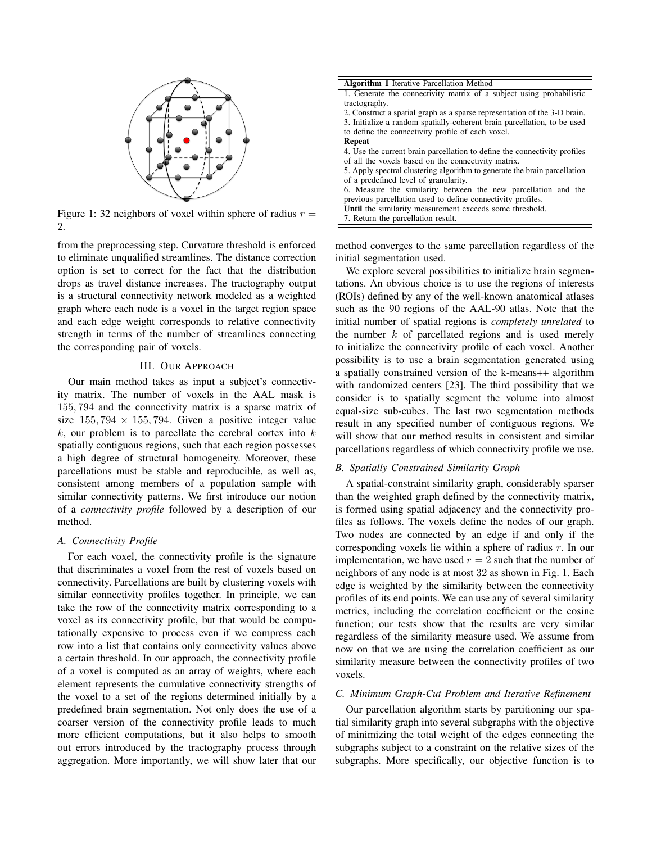

Figure 1: 32 neighbors of voxel within sphere of radius  $r =$ 2.

from the preprocessing step. Curvature threshold is enforced to eliminate unqualified streamlines. The distance correction option is set to correct for the fact that the distribution drops as travel distance increases. The tractography output is a structural connectivity network modeled as a weighted graph where each node is a voxel in the target region space and each edge weight corresponds to relative connectivity strength in terms of the number of streamlines connecting the corresponding pair of voxels.

## III. OUR APPROACH

Our main method takes as input a subject's connectivity matrix. The number of voxels in the AAL mask is 155*,* 794 and the connectivity matrix is a sparse matrix of size  $155, 794 \times 155, 794$ . Given a positive integer value *k*, our problem is to parcellate the cerebral cortex into *k* spatially contiguous regions, such that each region possesses a high degree of structural homogeneity. Moreover, these parcellations must be stable and reproducible, as well as, consistent among members of a population sample with similar connectivity patterns. We first introduce our notion of a *connectivity profile* followed by a description of our method.

#### *A. Connectivity Profile*

For each voxel, the connectivity profile is the signature that discriminates a voxel from the rest of voxels based on connectivity. Parcellations are built by clustering voxels with similar connectivity profiles together. In principle, we can take the row of the connectivity matrix corresponding to a voxel as its connectivity profile, but that would be computationally expensive to process even if we compress each row into a list that contains only connectivity values above a certain threshold. In our approach, the connectivity profile of a voxel is computed as an array of weights, where each element represents the cumulative connectivity strengths of the voxel to a set of the regions determined initially by a predefined brain segmentation. Not only does the use of a coarser version of the connectivity profile leads to much more efficient computations, but it also helps to smooth out errors introduced by the tractography process through aggregation. More importantly, we will show later that our

| <b>Algorithm 1</b> Iterative Parcellation Method                          |
|---------------------------------------------------------------------------|
| 1. Generate the connectivity matrix of a subject using probabilistic      |
| tractography.                                                             |
| 2. Construct a spatial graph as a sparse representation of the 3-D brain. |
| 3. Initialize a random spatially-coherent brain parcellation, to be used  |
| to define the connectivity profile of each voxel.                         |
| Repeat                                                                    |
| 4. Use the current brain parcellation to define the connectivity profiles |
| of all the voxels based on the connectivity matrix.                       |
| 5. Apply spectral clustering algorithm to generate the brain parcellation |
| of a predefined level of granularity.                                     |
| 6. Measure the similarity between the new parcellation and the            |
| previous parcellation used to define connectivity profiles.               |
| Until the similarity measurement exceeds some threshold.                  |
| 7. Return the parcellation result.                                        |

method converges to the same parcellation regardless of the initial segmentation used.

We explore several possibilities to initialize brain segmentations. An obvious choice is to use the regions of interests (ROIs) defined by any of the well-known anatomical atlases such as the 90 regions of the AAL-90 atlas. Note that the initial number of spatial regions is *completely unrelated* to the number *k* of parcellated regions and is used merely to initialize the connectivity profile of each voxel. Another possibility is to use a brain segmentation generated using a spatially constrained version of the k-means++ algorithm with randomized centers [23]. The third possibility that we consider is to spatially segment the volume into almost equal-size sub-cubes. The last two segmentation methods result in any specified number of contiguous regions. We will show that our method results in consistent and similar parcellations regardless of which connectivity profile we use.

#### *B. Spatially Constrained Similarity Graph*

A spatial-constraint similarity graph, considerably sparser than the weighted graph defined by the connectivity matrix, is formed using spatial adjacency and the connectivity profiles as follows. The voxels define the nodes of our graph. Two nodes are connected by an edge if and only if the corresponding voxels lie within a sphere of radius *r*. In our implementation, we have used  $r = 2$  such that the number of neighbors of any node is at most 32 as shown in Fig. 1. Each edge is weighted by the similarity between the connectivity profiles of its end points. We can use any of several similarity metrics, including the correlation coefficient or the cosine function; our tests show that the results are very similar regardless of the similarity measure used. We assume from now on that we are using the correlation coefficient as our similarity measure between the connectivity profiles of two voxels.

#### *C. Minimum Graph-Cut Problem and Iterative Refinement*

Our parcellation algorithm starts by partitioning our spatial similarity graph into several subgraphs with the objective of minimizing the total weight of the edges connecting the subgraphs subject to a constraint on the relative sizes of the subgraphs. More specifically, our objective function is to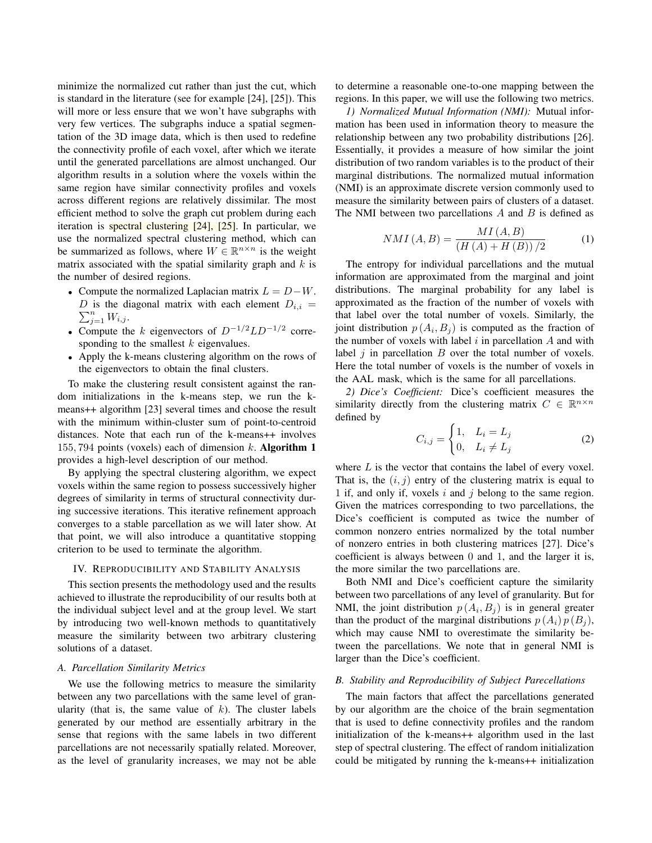minimize the normalized cut rather than just the cut, which is standard in the literature (see for example [24], [25]). This will more or less ensure that we won't have subgraphs with very few vertices. The subgraphs induce a spatial segmentation of the 3D image data, which is then used to redefine the connectivity profile of each voxel, after which we iterate until the generated parcellations are almost unchanged. Our algorithm results in a solution where the voxels within the same region have similar connectivity profiles and voxels across different regions are relatively dissimilar. The most efficient method to solve the graph cut problem during each iteration is spectral clustering [24], [25]. In particular, we use the normalized spectral clustering method, which can be summarized as follows, where  $W \in \mathbb{R}^{n \times n}$  is the weight matrix associated with the spatial similarity graph and *k* is the number of desired regions.

- Compute the normalized Laplacian matrix  $L = D W$ . *D* is the diagonal matrix with each element  $D_{i,i} = \sum_{i=1}^{n} I_i$  $\sum_{j=1}^{n} W_{i,j}$ .
- Compute the *k* eigenvectors of  $D^{-1/2}LD^{-1/2}$  corresponding to the smallest *k* eigenvalues.
- *•* Apply the k-means clustering algorithm on the rows of the eigenvectors to obtain the final clusters.

To make the clustering result consistent against the random initializations in the k-means step, we run the kmeans++ algorithm [23] several times and choose the result with the minimum within-cluster sum of point-to-centroid distances. Note that each run of the k-means++ involves 155*,* 794 points (voxels) each of dimension *k*. Algorithm 1 provides a high-level description of our method.

By applying the spectral clustering algorithm, we expect voxels within the same region to possess successively higher degrees of similarity in terms of structural connectivity during successive iterations. This iterative refinement approach converges to a stable parcellation as we will later show. At that point, we will also introduce a quantitative stopping criterion to be used to terminate the algorithm.

#### IV. REPRODUCIBILITY AND STABILITY ANALYSIS

This section presents the methodology used and the results achieved to illustrate the reproducibility of our results both at the individual subject level and at the group level. We start by introducing two well-known methods to quantitatively measure the similarity between two arbitrary clustering solutions of a dataset.

#### *A. Parcellation Similarity Metrics*

We use the following metrics to measure the similarity between any two parcellations with the same level of granularity (that is, the same value of *k*). The cluster labels generated by our method are essentially arbitrary in the sense that regions with the same labels in two different parcellations are not necessarily spatially related. Moreover, as the level of granularity increases, we may not be able to determine a reasonable one-to-one mapping between the regions. In this paper, we will use the following two metrics.

*1) Normalized Mutual Information (NMI):* Mutual information has been used in information theory to measure the relationship between any two probability distributions [26]. Essentially, it provides a measure of how similar the joint distribution of two random variables is to the product of their marginal distributions. The normalized mutual information (NMI) is an approximate discrete version commonly used to measure the similarity between pairs of clusters of a dataset. The NMI between two parcellations *A* and *B* is defined as

$$
NMI(A, B) = \frac{MI(A, B)}{(H(A) + H(B))/2}
$$
 (1)

The entropy for individual parcellations and the mutual information are approximated from the marginal and joint distributions. The marginal probability for any label is approximated as the fraction of the number of voxels with that label over the total number of voxels. Similarly, the joint distribution  $p(A_i, B_j)$  is computed as the fraction of the number of voxels with label *i* in parcellation *A* and with label *j* in parcellation *B* over the total number of voxels. Here the total number of voxels is the number of voxels in the AAL mask, which is the same for all parcellations.

*2) Dice's Coefficient:* Dice's coefficient measures the similarity directly from the clustering matrix  $C \in \mathbb{R}^{n \times n}$ defined by

$$
C_{i,j} = \begin{cases} 1, & L_i = L_j \\ 0, & L_i \neq L_j \end{cases}
$$
 (2)

where *L* is the vector that contains the label of every voxel. That is, the  $(i, j)$  entry of the clustering matrix is equal to 1 if, and only if, voxels *i* and *j* belong to the same region. Given the matrices corresponding to two parcellations, the Dice's coefficient is computed as twice the number of common nonzero entries normalized by the total number of nonzero entries in both clustering matrices [27]. Dice's coefficient is always between 0 and 1, and the larger it is, the more similar the two parcellations are.

Both NMI and Dice's coefficient capture the similarity between two parcellations of any level of granularity. But for NMI, the joint distribution  $p(A_i, B_i)$  is in general greater than the product of the marginal distributions  $p(A_i)p(B_j)$ , which may cause NMI to overestimate the similarity between the parcellations. We note that in general NMI is larger than the Dice's coefficient.

#### *B. Stability and Reproducibility of Subject Parecellations*

The main factors that affect the parcellations generated by our algorithm are the choice of the brain segmentation that is used to define connectivity profiles and the random initialization of the k-means++ algorithm used in the last step of spectral clustering. The effect of random initialization could be mitigated by running the k-means++ initialization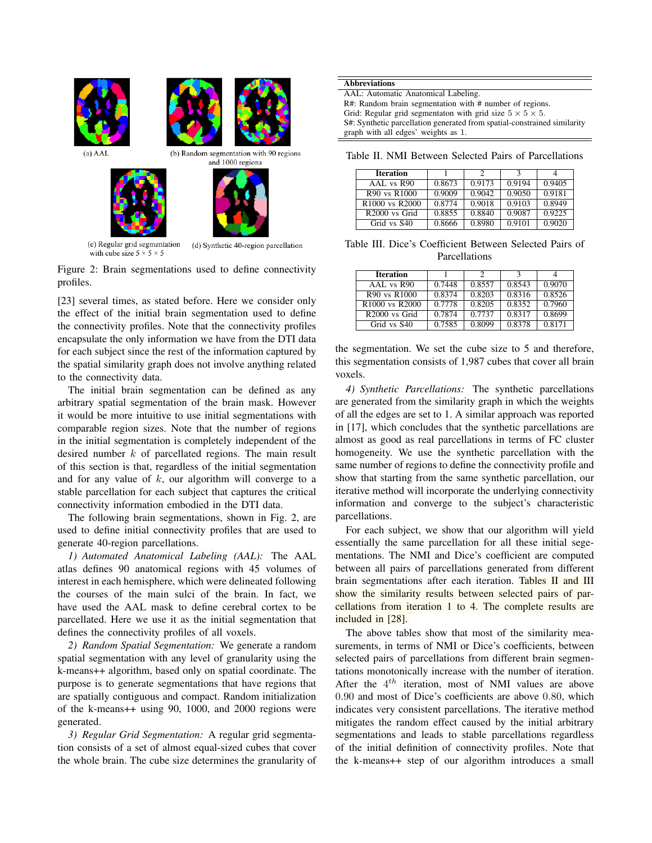

Figure 2: Brain segmentations used to define connectivity profiles.

[23] several times, as stated before. Here we consider only the effect of the initial brain segmentation used to define the connectivity profiles. Note that the connectivity profiles encapsulate the only information we have from the DTI data for each subject since the rest of the information captured by the spatial similarity graph does not involve anything related to the connectivity data.

The initial brain segmentation can be defined as any arbitrary spatial segmentation of the brain mask. However it would be more intuitive to use initial segmentations with comparable region sizes. Note that the number of regions in the initial segmentation is completely independent of the desired number *k* of parcellated regions. The main result of this section is that, regardless of the initial segmentation and for any value of *k*, our algorithm will converge to a stable parcellation for each subject that captures the critical connectivity information embodied in the DTI data.

The following brain segmentations, shown in Fig. 2, are used to define initial connectivity profiles that are used to generate 40-region parcellations.

*1) Automated Anatomical Labeling (AAL):* The AAL atlas defines 90 anatomical regions with 45 volumes of interest in each hemisphere, which were delineated following the courses of the main sulci of the brain. In fact, we have used the AAL mask to define cerebral cortex to be parcellated. Here we use it as the initial segmentation that defines the connectivity profiles of all voxels.

*2) Random Spatial Segmentation:* We generate a random spatial segmentation with any level of granularity using the k-means++ algorithm, based only on spatial coordinate. The purpose is to generate segmentations that have regions that are spatially contiguous and compact. Random initialization of the k-means++ using 90, 1000, and 2000 regions were generated.

*3) Regular Grid Segmentation:* A regular grid segmentation consists of a set of almost equal-sized cubes that cover the whole brain. The cube size determines the granularity of Abbreviations

AAL: Automatic Anatomical Labeling. R#: Random brain segmentation with # number of regions. Grid: Regular grid segmentaton with grid size  $5 \times 5 \times 5$ . S#: Synthetic parcellation generated from spatial-constrained similarity graph with all edges' weights as 1.

Table II. NMI Between Selected Pairs of Parcellations

| <b>Iteration</b>                       |        |        |        |        |
|----------------------------------------|--------|--------|--------|--------|
| AAL vs R90                             | 0.8673 | 0.9173 | 0.9194 | 0.9405 |
| R90 vs R1000                           | 0.9009 | 0.9042 | 0.9050 | 0.9181 |
| R <sub>1000</sub> vs R <sub>2000</sub> | 0.8774 | 0.9018 | 0.9103 | 0.8949 |
| R <sub>2000</sub> vs Grid              | 0.8855 | 0.8840 | 0.9087 | 0.9225 |
| Grid vs S40                            | 0.8666 | 0.8980 | 0.9101 | 0.9020 |

Table III. Dice's Coefficient Between Selected Pairs of Parcellations

| <b>Iteration</b>          |        | 2      | 3      |        |
|---------------------------|--------|--------|--------|--------|
| AAL vs R90                | 0.7448 | 0.8557 | 0.8543 | 0.9070 |
| R90 vs R1000              | 0.8374 | 0.8203 | 0.8316 | 0.8526 |
| R1000 vs R2000            | 0.7778 | 0.8205 | 0.8352 | 0.7960 |
| R <sub>2000</sub> vs Grid | 0.7874 | 0.7737 | 0.8317 | 0.8699 |
| Grid vs S40               | 0.7585 | 0.8099 | 0.8378 | 0.8171 |

the segmentation. We set the cube size to 5 and therefore, this segmentation consists of 1,987 cubes that cover all brain voxels.

*4) Synthetic Parcellations:* The synthetic parcellations are generated from the similarity graph in which the weights of all the edges are set to 1. A similar approach was reported in [17], which concludes that the synthetic parcellations are almost as good as real parcellations in terms of FC cluster homogeneity. We use the synthetic parcellation with the same number of regions to define the connectivity profile and show that starting from the same synthetic parcellation, our iterative method will incorporate the underlying connectivity information and converge to the subject's characteristic parcellations.

For each subject, we show that our algorithm will yield essentially the same parcellation for all these initial segementations. The NMI and Dice's coefficient are computed between all pairs of parcellations generated from different brain segmentations after each iteration. Tables II and III show the similarity results between selected pairs of parcellations from iteration 1 to 4. The complete results are included in [28].

The above tables show that most of the similarity measurements, in terms of NMI or Dice's coefficients, between selected pairs of parcellations from different brain segmentations monotonically increase with the number of iteration. After the 4*th* iteration, most of NMI values are above 0*.*90 and most of Dice's coefficients are above 0*.*80, which indicates very consistent parcellations. The iterative method mitigates the random effect caused by the initial arbitrary segmentations and leads to stable parcellations regardless of the initial definition of connectivity profiles. Note that the k-means++ step of our algorithm introduces a small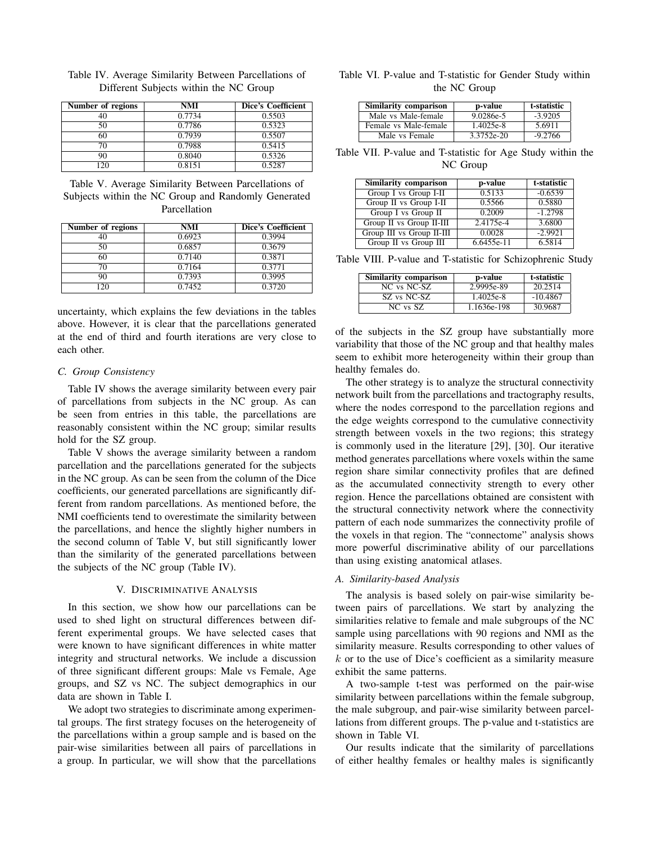| Number of regions | <b>NMI</b> | <b>Dice's Coefficient</b> |
|-------------------|------------|---------------------------|
| 40                | 0.7734     | $0.5\overline{503}$       |
| 50                | 0.7786     | 0.5323                    |
| 60                | 0.7939     | 0.5507                    |
| 70                | 0.7988     | 0.5415                    |
| 90                | 0.8040     | 0.5326                    |
| 120               | 0.8151     | 0.5287                    |

## Table IV. Average Similarity Between Parcellations of Different Subjects within the NC Group

Table V. Average Similarity Between Parcellations of Subjects within the NC Group and Randomly Generated Parcellation

| Number of regions | NMI    | <b>Dice's Coefficient</b> |
|-------------------|--------|---------------------------|
| 40                | 0.6923 | 0.3994                    |
| 50                | 0.6857 | 0.3679                    |
| 60                | 0.7140 | 0.3871                    |
|                   | 0.7164 | 0.3771                    |
| 90                | 0.7393 | 0.3995                    |
| $\gamma$          | 0.7452 | 0.3720                    |

uncertainty, which explains the few deviations in the tables above. However, it is clear that the parcellations generated at the end of third and fourth iterations are very close to each other.

# *C. Group Consistency*

Table IV shows the average similarity between every pair of parcellations from subjects in the NC group. As can be seen from entries in this table, the parcellations are reasonably consistent within the NC group; similar results hold for the SZ group.

Table V shows the average similarity between a random parcellation and the parcellations generated for the subjects in the NC group. As can be seen from the column of the Dice coefficients, our generated parcellations are significantly different from random parcellations. As mentioned before, the NMI coefficients tend to overestimate the similarity between the parcellations, and hence the slightly higher numbers in the second column of Table V, but still significantly lower than the similarity of the generated parcellations between the subjects of the NC group (Table IV).

#### V. DISCRIMINATIVE ANALYSIS

In this section, we show how our parcellations can be used to shed light on structural differences between different experimental groups. We have selected cases that were known to have significant differences in white matter integrity and structural networks. We include a discussion of three significant different groups: Male vs Female, Age groups, and SZ vs NC. The subject demographics in our data are shown in Table I.

We adopt two strategies to discriminate among experimental groups. The first strategy focuses on the heterogeneity of the parcellations within a group sample and is based on the pair-wise similarities between all pairs of parcellations in a group. In particular, we will show that the parcellations

# Table VI. P-value and T-statistic for Gender Study within the NC Group

| <b>Similarity comparison</b> | p-value    | t-statistic |
|------------------------------|------------|-------------|
| Male vs Male-female          | 9.0286e-5  | $-3.9205$   |
| Female vs Male-female        | 1.4025e-8  | 5.6911      |
| Male vs Female               | 3.3752e-20 | $-9.2766$   |

Table VII. P-value and T-statistic for Age Study within the NC Group

| <b>Similarity comparison</b> | p-value      | t-statistic |
|------------------------------|--------------|-------------|
| Group I vs Group I-II        | 0.5133       | $-0.6539$   |
| Group II vs Group I-II       | 0.5566       | 0.5880      |
| Group I vs Group II          | 0.2009       | $-1.2798$   |
| Group II vs Group II-III     | $2.4175e-4$  | 3.6800      |
| Group III vs Group II-III    | 0.0028       | $-2.9921$   |
| Group II vs Group III        | $6.6455e-11$ | 6.5814      |

Table VIII. P-value and T-statistic for Schizophrenic Study

| Similarity comparison | p-value     | t-statistic |
|-----------------------|-------------|-------------|
| NC vs NC-SZ           | 2.9995e-89  | 20.2514     |
| SZ vs NC-SZ           | $1.4025e-8$ | $-10.4867$  |
| NC vs SZ              | 1.1636e-198 | 30.9687     |

of the subjects in the SZ group have substantially more variability that those of the NC group and that healthy males seem to exhibit more heterogeneity within their group than healthy females do.

The other strategy is to analyze the structural connectivity network built from the parcellations and tractography results, where the nodes correspond to the parcellation regions and the edge weights correspond to the cumulative connectivity strength between voxels in the two regions; this strategy is commonly used in the literature [29], [30]. Our iterative method generates parcellations where voxels within the same region share similar connectivity profiles that are defined as the accumulated connectivity strength to every other region. Hence the parcellations obtained are consistent with the structural connectivity network where the connectivity pattern of each node summarizes the connectivity profile of the voxels in that region. The "connectome" analysis shows more powerful discriminative ability of our parcellations than using existing anatomical atlases.

## *A. Similarity-based Analysis*

The analysis is based solely on pair-wise similarity between pairs of parcellations. We start by analyzing the similarities relative to female and male subgroups of the NC sample using parcellations with 90 regions and NMI as the similarity measure. Results corresponding to other values of *k* or to the use of Dice's coefficient as a similarity measure exhibit the same patterns.

A two-sample t-test was performed on the pair-wise similarity between parcellations within the female subgroup, the male subgroup, and pair-wise similarity between parcellations from different groups. The p-value and t-statistics are shown in Table VI.

Our results indicate that the similarity of parcellations of either healthy females or healthy males is significantly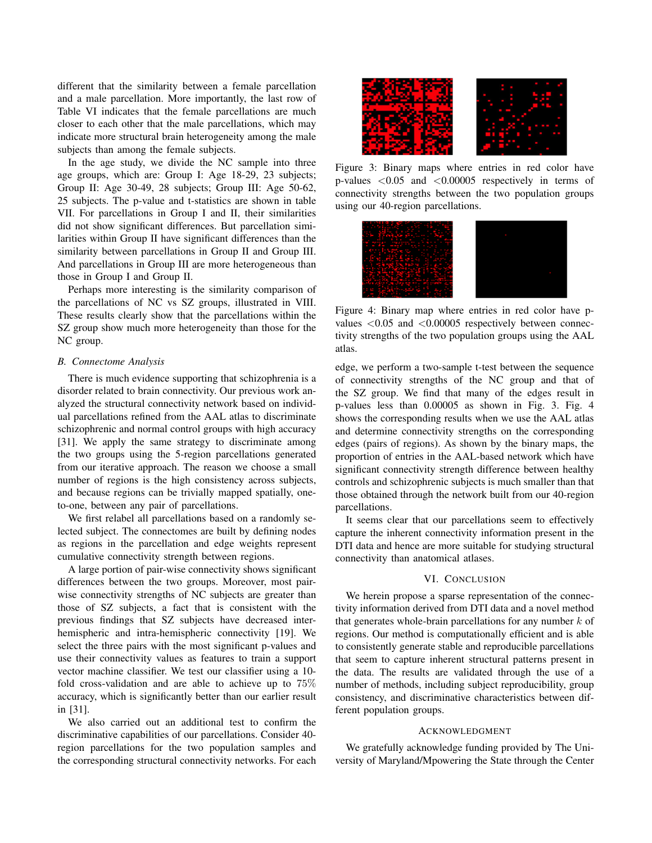different that the similarity between a female parcellation and a male parcellation. More importantly, the last row of Table VI indicates that the female parcellations are much closer to each other that the male parcellations, which may indicate more structural brain heterogeneity among the male subjects than among the female subjects.

In the age study, we divide the NC sample into three age groups, which are: Group I: Age 18-29, 23 subjects; Group II: Age 30-49, 28 subjects; Group III: Age 50-62, 25 subjects. The p-value and t-statistics are shown in table VII. For parcellations in Group I and II, their similarities did not show significant differences. But parcellation similarities within Group II have significant differences than the similarity between parcellations in Group II and Group III. And parcellations in Group III are more heterogeneous than those in Group I and Group II.

Perhaps more interesting is the similarity comparison of the parcellations of NC vs SZ groups, illustrated in VIII. These results clearly show that the parcellations within the SZ group show much more heterogeneity than those for the NC group.

## *B. Connectome Analysis*

There is much evidence supporting that schizophrenia is a disorder related to brain connectivity. Our previous work analyzed the structural connectivity network based on individual parcellations refined from the AAL atlas to discriminate schizophrenic and normal control groups with high accuracy [31]. We apply the same strategy to discriminate among the two groups using the 5-region parcellations generated from our iterative approach. The reason we choose a small number of regions is the high consistency across subjects, and because regions can be trivially mapped spatially, oneto-one, between any pair of parcellations.

We first relabel all parcellations based on a randomly selected subject. The connectomes are built by defining nodes as regions in the parcellation and edge weights represent cumulative connectivity strength between regions.

A large portion of pair-wise connectivity shows significant differences between the two groups. Moreover, most pairwise connectivity strengths of NC subjects are greater than those of SZ subjects, a fact that is consistent with the previous findings that SZ subjects have decreased interhemispheric and intra-hemispheric connectivity [19]. We select the three pairs with the most significant p-values and use their connectivity values as features to train a support vector machine classifier. We test our classifier using a 10 fold cross-validation and are able to achieve up to 75% accuracy, which is significantly better than our earlier result in [31].

We also carried out an additional test to confirm the discriminative capabilities of our parcellations. Consider 40 region parcellations for the two population samples and the corresponding structural connectivity networks. For each



Figure 3: Binary maps where entries in red color have p-values *<*0.05 and *<*0.00005 respectively in terms of connectivity strengths between the two population groups using our 40-region parcellations.



Figure 4: Binary map where entries in red color have pvalues *<*0.05 and *<*0.00005 respectively between connectivity strengths of the two population groups using the AAL atlas.

edge, we perform a two-sample t-test between the sequence of connectivity strengths of the NC group and that of the SZ group. We find that many of the edges result in p-values less than 0.00005 as shown in Fig. 3. Fig. 4 shows the corresponding results when we use the AAL atlas and determine connectivity strengths on the corresponding edges (pairs of regions). As shown by the binary maps, the proportion of entries in the AAL-based network which have significant connectivity strength difference between healthy controls and schizophrenic subjects is much smaller than that those obtained through the network built from our 40-region parcellations.

It seems clear that our parcellations seem to effectively capture the inherent connectivity information present in the DTI data and hence are more suitable for studying structural connectivity than anatomical atlases.

## VI. CONCLUSION

We herein propose a sparse representation of the connectivity information derived from DTI data and a novel method that generates whole-brain parcellations for any number *k* of regions. Our method is computationally efficient and is able to consistently generate stable and reproducible parcellations that seem to capture inherent structural patterns present in the data. The results are validated through the use of a number of methods, including subject reproducibility, group consistency, and discriminative characteristics between different population groups.

#### ACKNOWLEDGMENT

We gratefully acknowledge funding provided by The University of Maryland/Mpowering the State through the Center